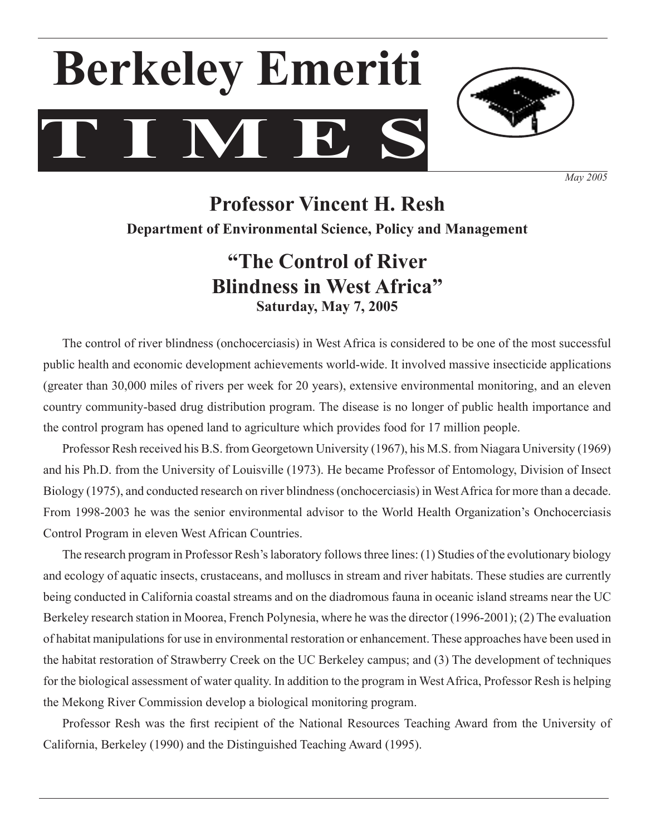# **T I M E S Berkeley Emeriti**



*May 2005*

# **Professor Vincent H. Resh Department of Environmental Science, Policy and Management**

# **"The Control of River Blindness in West Africa" Saturday, May 7, 2005**

The control of river blindness (onchocerciasis) in West Africa is considered to be one of the most successful public health and economic development achievements world-wide. It involved massive insecticide applications (greater than 30,000 miles of rivers per week for 20 years), extensive environmental monitoring, and an eleven country community-based drug distribution program. The disease is no longer of public health importance and the control program has opened land to agriculture which provides food for 17 million people.

 Professor Resh received his B.S. from Georgetown University (1967), his M.S. from Niagara University (1969) and his Ph.D. from the University of Louisville (1973). He became Professor of Entomology, Division of Insect Biology (1975), and conducted research on river blindness(onchocerciasis) in WestAfrica for more than a decade. From 1998-2003 he was the senior environmental advisor to the World Health Organization's Onchocerciasis Control Program in eleven West African Countries.

 The research program in Professor Resh'slaboratory followsthree lines: (1) Studies of the evolutionary biology and ecology of aquatic insects, crustaceans, and molluscs in stream and river habitats. These studies are currently being conducted in California coastal streams and on the diadromous fauna in oceanic island streams near the UC Berkeley research station in Moorea, French Polynesia, where he was the director (1996-2001); (2) The evaluation of habitat manipulations for use in environmental restoration or enhancement. These approaches have been used in the habitat restoration of Strawberry Creek on the UC Berkeley campus; and (3) The development of techniques for the biological assessment of water quality. In addition to the program in WestAfrica, Professor Resh is helping the Mekong River Commission develop a biological monitoring program.

 Professor Resh was the first recipient of the National Resources Teaching Award from the University of California, Berkeley (1990) and the Distinguished Teaching Award (1995).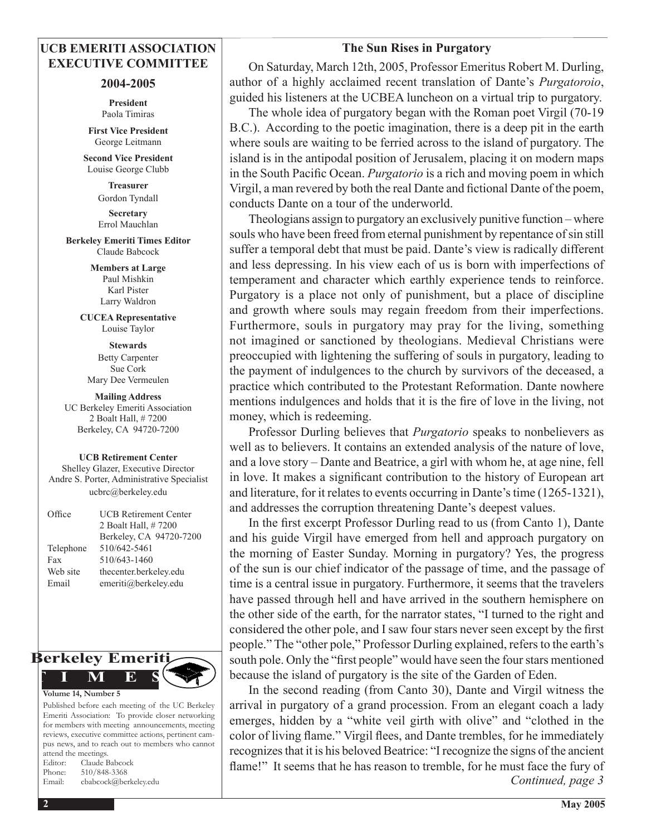## **UCB EMERITI ASSOCIATION EXECUTIVE COMMITTEE**

#### **2004-2005**

**President** Paola Timiras

**First Vice President** George Leitmann

**Second Vice President** Louise George Clubb

> **Treasurer**  Gordon Tyndall

> **Secretary**  Errol Mauchlan

**Berkeley Emeriti Times Editor** Claude Babcock

> **Members at Large** Paul Mishkin Karl Pister Larry Waldron

**CUCEA Representative** Louise Taylor

**Stewards** Betty Carpenter Sue Cork Mary Dee Vermeulen

**Mailing Address** UC Berkeley Emeriti Association 2 Boalt Hall, # 7200 Berkeley, CA 94720-7200

#### **UCB Retirement Center**

Shelley Glazer, Executive Director Andre S. Porter, Administrative Specialist ucbrc@berkeley.edu

| Office    | <b>UCB Retirement Center</b> |
|-----------|------------------------------|
|           | 2 Boalt Hall, #7200          |
|           | Berkeley, CA 94720-7200      |
| Telephone | 510/642-5461                 |
| Fax       | 510/643-1460                 |
| Web site  | thecenter.berkeley.edu       |
| Email     | emeriti@berkeley.edu         |
|           |                              |



Published before each meeting of the UC Berkeley Emeriti Association: To provide closer networking for members with meeting announcements, meeting reviews, executive committee actions, pertinent campus news, and to reach out to members who cannot attend the meetings. Editor: Claude Babcock Pho

| Phone: | 510/848-3368          |
|--------|-----------------------|
| Email: | cbabcock@berkeley.edu |

#### **The Sun Rises in Purgatory**

 On Saturday, March 12th, 2005, Professor Emeritus Robert M. Durling, author of a highly acclaimed recent translation of Dante's *Purgatoroio*, guided his listeners at the UCBEA luncheon on a virtual trip to purgatory.

 The whole idea of purgatory began with the Roman poet Virgil (70-19 B.C.). According to the poetic imagination, there is a deep pit in the earth where souls are waiting to be ferried across to the island of purgatory. The island is in the antipodal position of Jerusalem, placing it on modern maps in the South Pacific Ocean. *Purgatorio* is a rich and moving poem in which Virgil, a man revered by both the real Dante and fictional Dante of the poem, conducts Dante on a tour of the underworld.

 Theologians assign to purgatory an exclusively punitive function – where souls who have been freed from eternal punishment by repentance of sin still suffer a temporal debt that must be paid. Dante's view is radically different and less depressing. In his view each of us is born with imperfections of temperament and character which earthly experience tends to reinforce. Purgatory is a place not only of punishment, but a place of discipline and growth where souls may regain freedom from their imperfections. Furthermore, souls in purgatory may pray for the living, something not imagined or sanctioned by theologians. Medieval Christians were preoccupied with lightening the suffering of souls in purgatory, leading to the payment of indulgences to the church by survivors of the deceased, a practice which contributed to the Protestant Reformation. Dante nowhere mentions indulgences and holds that it is the fire of love in the living, not money, which is redeeming.

 Professor Durling believes that *Purgatorio* speaks to nonbelievers as well as to believers. It contains an extended analysis of the nature of love, and a love story – Dante and Beatrice, a girl with whom he, at age nine, fell in love. It makes a significant contribution to the history of European art and literature, for it relates to events occurring in Dante's time (1265-1321), and addresses the corruption threatening Dante's deepest values.

 In the first excerpt Professor Durling read to us (from Canto 1), Dante and his guide Virgil have emerged from hell and approach purgatory on the morning of Easter Sunday. Morning in purgatory? Yes, the progress of the sun is our chief indicator of the passage of time, and the passage of time is a central issue in purgatory. Furthermore, it seems that the travelers have passed through hell and have arrived in the southern hemisphere on the other side of the earth, for the narrator states, "I turned to the right and considered the other pole, and I saw four stars never seen except by the first people." The "other pole," Professor Durling explained, refers to the earth's south pole. Only the "first people" would have seen the four stars mentioned because the island of purgatory is the site of the Garden of Eden.

 In the second reading (from Canto 30), Dante and Virgil witness the arrival in purgatory of a grand procession. From an elegant coach a lady emerges, hidden by a "white veil girth with olive" and "clothed in the color of living flame." Virgil flees, and Dante trembles, for he immediately recognizesthat it is his beloved Beatrice: "I recognize the signs of the ancient flame!" It seems that he has reason to tremble, for he must face the fury of *Continued, page 3*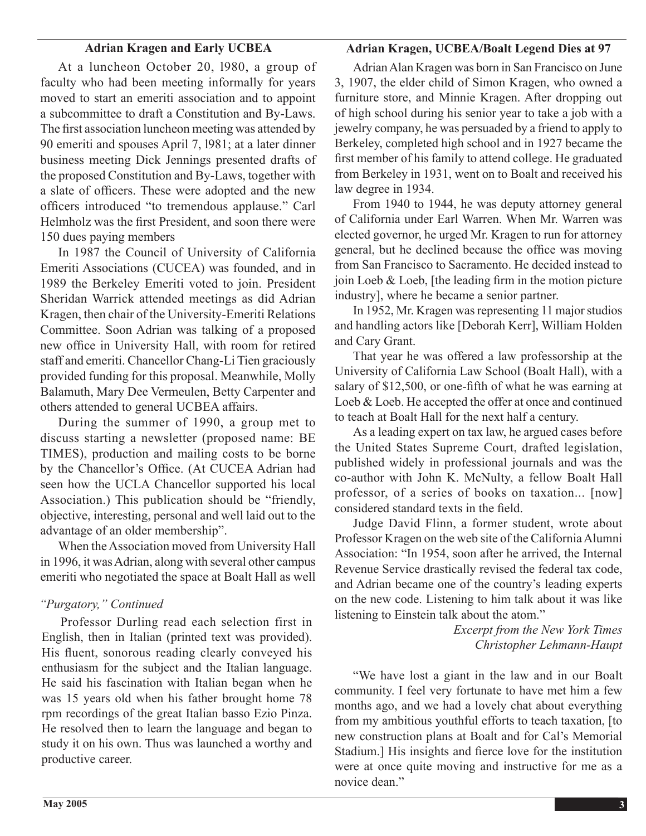## **Adrian Kragen and Early UCBEA**

#### **Adrian Kragen, UCBEA/Boalt Legend Dies at 97**

At a luncheon October 20, l980, a group of faculty who had been meeting informally for years moved to start an emeriti association and to appoint a subcommittee to draft a Constitution and By-Laws. The first association luncheon meeting was attended by 90 emeriti and spouses April 7, l981; at a later dinner business meeting Dick Jennings presented drafts of the proposed Constitution and By-Laws, together with a slate of officers. These were adopted and the new officers introduced "to tremendous applause." Carl Helmholz was the first President, and soon there were 150 dues paying members

 In 1987 the Council of University of California Emeriti Associations (CUCEA) was founded, and in 1989 the Berkeley Emeriti voted to join. President Sheridan Warrick attended meetings as did Adrian Kragen, then chair of the University-Emeriti Relations Committee. Soon Adrian was talking of a proposed new office in University Hall, with room for retired staff and emeriti. Chancellor Chang-Li Tien graciously provided funding for this proposal. Meanwhile, Molly Balamuth, Mary Dee Vermeulen, Betty Carpenter and others attended to general UCBEA affairs.

 During the summer of 1990, a group met to discuss starting a newsletter (proposed name: BE TIMES), production and mailing costs to be borne by the Chancellor's Office. (At CUCEA Adrian had seen how the UCLA Chancellor supported his local Association.) This publication should be "friendly, objective, interesting, personal and well laid out to the advantage of an older membership".

When the Association moved from University Hall in 1996, it was Adrian, along with several other campus emeriti who negotiated the space at Boalt Hall as well

## *"Purgatory," Continued*

 Professor Durling read each selection first in English, then in Italian (printed text was provided). His fluent, sonorous reading clearly conveyed his enthusiasm for the subject and the Italian language. He said his fascination with Italian began when he was 15 years old when his father brought home 78 rpm recordings of the great Italian basso Ezio Pinza. He resolved then to learn the language and began to study it on his own. Thus was launched a worthy and productive career.

 AdrianAlan Kragen was born in San Francisco on June 3, 1907, the elder child of Simon Kragen, who owned a furniture store, and Minnie Kragen. After dropping out of high school during his senior year to take a job with a jewelry company, he was persuaded by a friend to apply to Berkeley, completed high school and in 1927 became the first member of his family to attend college. He graduated from Berkeley in 1931, went on to Boalt and received his law degree in 1934.

 From 1940 to 1944, he was deputy attorney general of California under Earl Warren. When Mr. Warren was elected governor, he urged Mr. Kragen to run for attorney general, but he declined because the office was moving from San Francisco to Sacramento. He decided instead to join Loeb & Loeb, [the leading firm in the motion picture industry], where he became a senior partner.

In 1952, Mr. Kragen was representing 11 major studios and handling actors like [Deborah Kerr], William Holden and Cary Grant.

 That year he was offered a law professorship at the University of California Law School (Boalt Hall), with a salary of \$12,500, or one-fifth of what he was earning at Loeb & Loeb. He accepted the offer at once and continued to teach at Boalt Hall for the next half a century.

 As a leading expert on tax law, he argued cases before the United States Supreme Court, drafted legislation, published widely in professional journals and was the co-author with John K. McNulty, a fellow Boalt Hall professor, of a series of books on taxation... [now] considered standard texts in the field.

 Judge David Flinn, a former student, wrote about Professor Kragen on the web site of the California Alumni Association: "In 1954, soon after he arrived, the Internal Revenue Service drastically revised the federal tax code, and Adrian became one of the country's leading experts on the new code. Listening to him talk about it was like listening to Einstein talk about the atom."

> *Excerpt from the New York Times Christopher Lehmann-Haupt*

 "We have lost a giant in the law and in our Boalt community. I feel very fortunate to have met him a few months ago, and we had a lovely chat about everything from my ambitious youthful efforts to teach taxation, [to new construction plans at Boalt and for Cal's Memorial Stadium.] His insights and fierce love for the institution were at once quite moving and instructive for me as a novice dean."